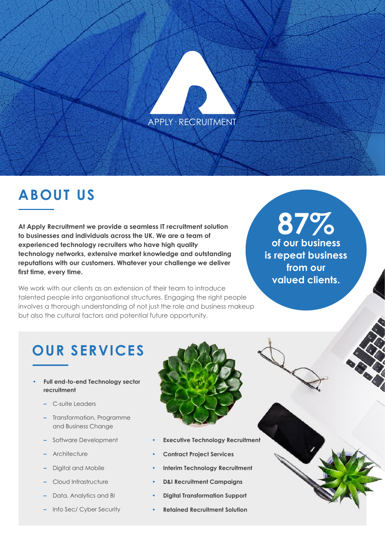#### APPLY· RECRUITMENT

## **ABOUT US**

**At Apply Recruitment we provide a seamless IT recruitment solution to businesses and individuals across the UK. We are a team of experienced technology recruiters who have high quality technology networks, extensive market knowledge and outstanding reputations with our customers. Whatever your challenge we deliver first time, every time.**

We work with our clients as an extension of their team to introduce talented people into organisational structures. Engaging the right people involves a thorough understanding of not just the role and business makeup but also the cultural factors and potential future opportunity.

# **87%**

**of our business is repeat business from our valued clients.** 

#### **OUR SERVICES**

- **• Full end-to-end Technology sector recruitment**
	- **–** C-suite Leaders
	- **–** Transformation, Programme and Business Change
	- **–** Software Development
	- **–** Architecture
	- **–** Digital and Mobile
	- **–** Cloud Infrastructure
	- **–** Data, Analytics and BI
	- **–** Info Sec/ Cyber Security



- **• Executive Technology Recruitment**
- **• Contract Project Services**
- **• Interim Technology Recruitment**
- **• D&I Recruitment Campaigns**
- **• Digital Transformation Support**
- **• Retained Recruitment Solution**